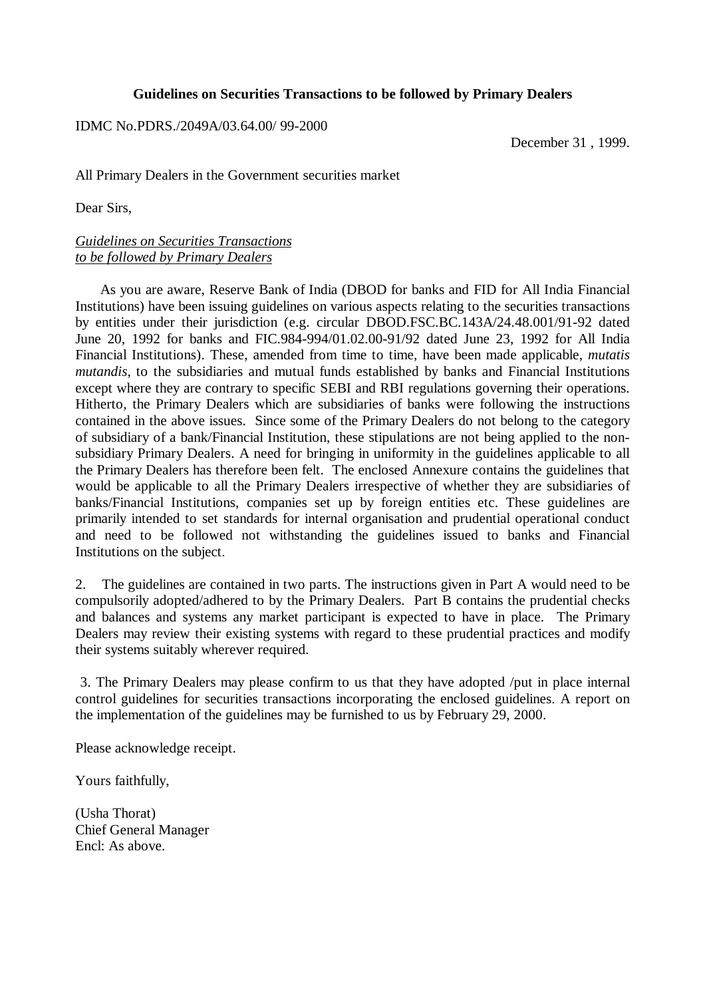#### **Guidelines on Securities Transactions to be followed by Primary Dealers**

IDMC No.PDRS./2049A/03.64.00/ 99-2000

December 31 , 1999.

All Primary Dealers in the Government securities market

Dear Sirs,

#### *Guidelines on Securities Transactions to be followed by Primary Dealers*

 As you are aware, Reserve Bank of India (DBOD for banks and FID for All India Financial Institutions) have been issuing guidelines on various aspects relating to the securities transactions by entities under their jurisdiction (e.g. circular DBOD.FSC.BC.143A/24.48.001/91-92 dated June 20, 1992 for banks and FIC.984-994/01.02.00-91/92 dated June 23, 1992 for All India Financial Institutions). These, amended from time to time, have been made applicable, *mutatis mutandis,* to the subsidiaries and mutual funds established by banks and Financial Institutions except where they are contrary to specific SEBI and RBI regulations governing their operations. Hitherto, the Primary Dealers which are subsidiaries of banks were following the instructions contained in the above issues. Since some of the Primary Dealers do not belong to the category of subsidiary of a bank/Financial Institution, these stipulations are not being applied to the nonsubsidiary Primary Dealers. A need for bringing in uniformity in the guidelines applicable to all the Primary Dealers has therefore been felt. The enclosed Annexure contains the guidelines that would be applicable to all the Primary Dealers irrespective of whether they are subsidiaries of banks/Financial Institutions, companies set up by foreign entities etc. These guidelines are primarily intended to set standards for internal organisation and prudential operational conduct and need to be followed not withstanding the guidelines issued to banks and Financial Institutions on the subject.

2. The guidelines are contained in two parts. The instructions given in Part A would need to be compulsorily adopted/adhered to by the Primary Dealers. Part B contains the prudential checks and balances and systems any market participant is expected to have in place. The Primary Dealers may review their existing systems with regard to these prudential practices and modify their systems suitably wherever required.

 3. The Primary Dealers may please confirm to us that they have adopted /put in place internal control guidelines for securities transactions incorporating the enclosed guidelines. A report on the implementation of the guidelines may be furnished to us by February 29, 2000.

Please acknowledge receipt.

Yours faithfully,

(Usha Thorat) Chief General Manager Encl: As above.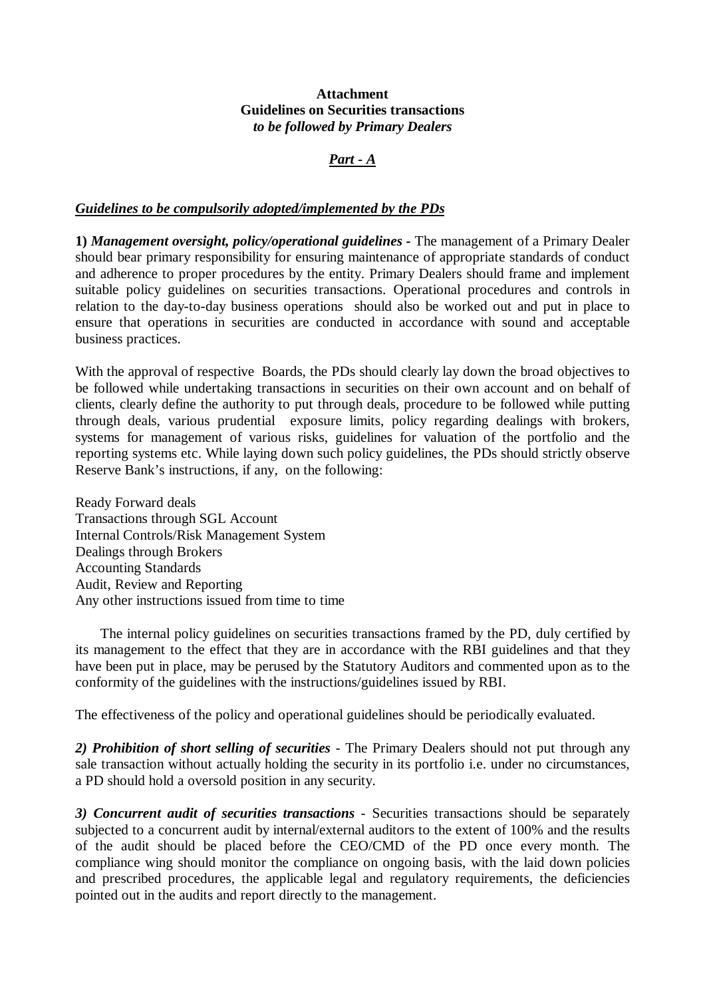#### **Attachment Guidelines on Securities transactions** *to be followed by Primary Dealers*

## *Part - A*

#### *Guidelines to be compulsorily adopted/implemented by the PDs*

**1)** *Management oversight, policy/operational guidelines -* The management of a Primary Dealer should bear primary responsibility for ensuring maintenance of appropriate standards of conduct and adherence to proper procedures by the entity. Primary Dealers should frame and implement suitable policy guidelines on securities transactions. Operational procedures and controls in relation to the day-to-day business operations should also be worked out and put in place to ensure that operations in securities are conducted in accordance with sound and acceptable business practices.

With the approval of respective Boards, the PDs should clearly lay down the broad objectives to be followed while undertaking transactions in securities on their own account and on behalf of clients, clearly define the authority to put through deals, procedure to be followed while putting through deals, various prudential exposure limits, policy regarding dealings with brokers, systems for management of various risks, guidelines for valuation of the portfolio and the reporting systems etc. While laying down such policy guidelines, the PDs should strictly observe Reserve Bank's instructions, if any, on the following:

Ready Forward deals Transactions through SGL Account Internal Controls/Risk Management System Dealings through Brokers Accounting Standards Audit, Review and Reporting Any other instructions issued from time to time

 The internal policy guidelines on securities transactions framed by the PD, duly certified by its management to the effect that they are in accordance with the RBI guidelines and that they have been put in place, may be perused by the Statutory Auditors and commented upon as to the conformity of the guidelines with the instructions/guidelines issued by RBI.

The effectiveness of the policy and operational guidelines should be periodically evaluated.

*2) Prohibition of short selling of securities -* The Primary Dealers should not put through any sale transaction without actually holding the security in its portfolio i.e. under no circumstances, a PD should hold a oversold position in any security.

*3) Concurrent audit of securities transactions* - Securities transactions should be separately subjected to a concurrent audit by internal/external auditors to the extent of 100% and the results of the audit should be placed before the CEO/CMD of the PD once every month. The compliance wing should monitor the compliance on ongoing basis, with the laid down policies and prescribed procedures, the applicable legal and regulatory requirements, the deficiencies pointed out in the audits and report directly to the management.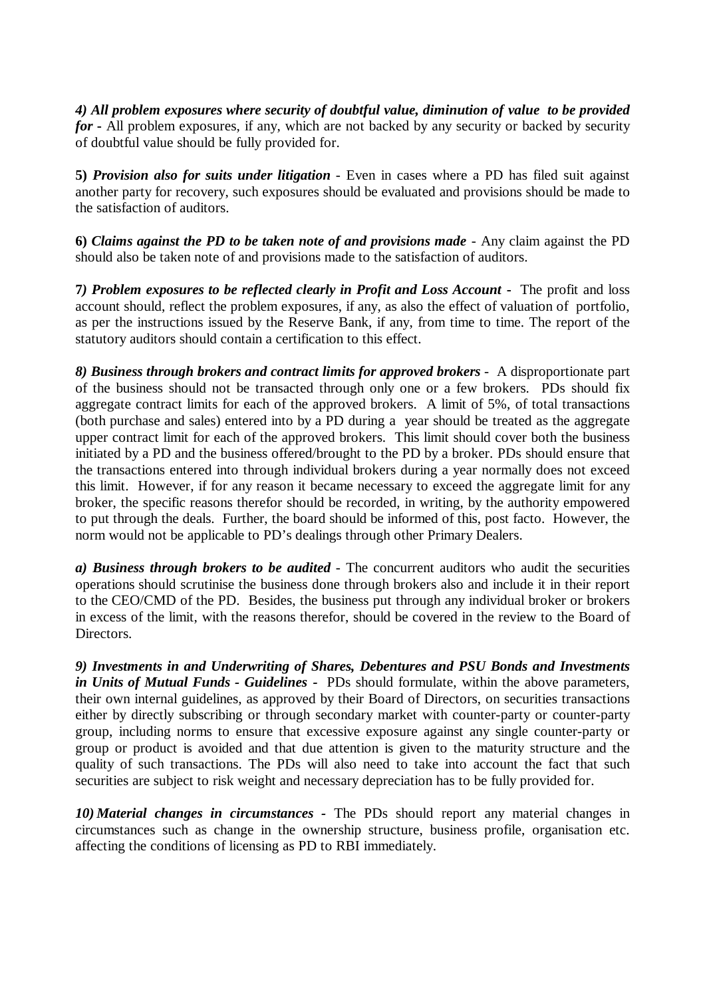*4) All problem exposures where security of doubtful value, diminution of value to be provided for* **-** All problem exposures, if any, which are not backed by any security or backed by security of doubtful value should be fully provided for.

**5)** *Provision also for suits under litigation* - Even in cases where a PD has filed suit against another party for recovery, such exposures should be evaluated and provisions should be made to the satisfaction of auditors.

**6)** *Claims against the PD to be taken note of and provisions made* - Any claim against the PD should also be taken note of and provisions made to the satisfaction of auditors.

**7***) Problem exposures to be reflected clearly in Profit and Loss Account* **-** The profit and loss account should, reflect the problem exposures, if any, as also the effect of valuation of portfolio, as per the instructions issued by the Reserve Bank, if any, from time to time. The report of the statutory auditors should contain a certification to this effect.

*8) Business through brokers and contract limits for approved brokers* - A disproportionate part of the business should not be transacted through only one or a few brokers. PDs should fix aggregate contract limits for each of the approved brokers. A limit of 5%, of total transactions (both purchase and sales) entered into by a PD during a year should be treated as the aggregate upper contract limit for each of the approved brokers. This limit should cover both the business initiated by a PD and the business offered/brought to the PD by a broker. PDs should ensure that the transactions entered into through individual brokers during a year normally does not exceed this limit. However, if for any reason it became necessary to exceed the aggregate limit for any broker, the specific reasons therefor should be recorded, in writing, by the authority empowered to put through the deals. Further, the board should be informed of this, post facto. However, the norm would not be applicable to PD's dealings through other Primary Dealers.

*a)* Business through brokers to be audited - The concurrent auditors who audit the securities operations should scrutinise the business done through brokers also and include it in their report to the CEO/CMD of the PD. Besides, the business put through any individual broker or brokers in excess of the limit, with the reasons therefor, should be covered in the review to the Board of Directors.

*9) Investments in and Underwriting of Shares, Debentures and PSU Bonds and Investments in Units of Mutual Funds - Guidelines -* PDs should formulate, within the above parameters, their own internal guidelines, as approved by their Board of Directors, on securities transactions either by directly subscribing or through secondary market with counter-party or counter-party group, including norms to ensure that excessive exposure against any single counter-party or group or product is avoided and that due attention is given to the maturity structure and the quality of such transactions. The PDs will also need to take into account the fact that such securities are subject to risk weight and necessary depreciation has to be fully provided for.

*10) Material changes in circumstances -* The PDs should report any material changes in circumstances such as change in the ownership structure, business profile, organisation etc. affecting the conditions of licensing as PD to RBI immediately.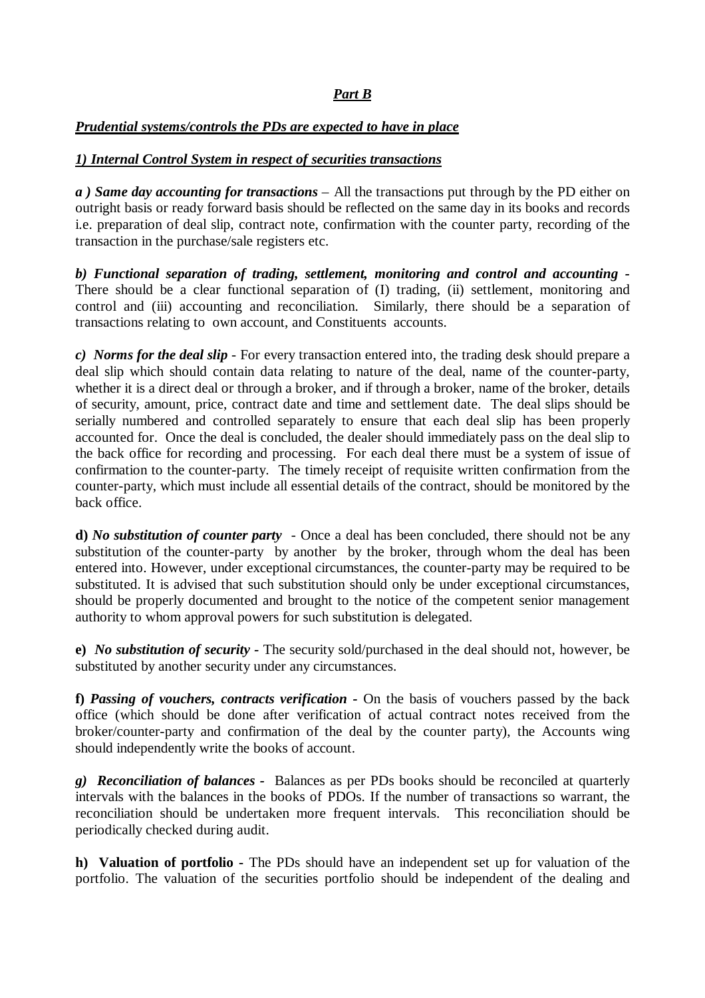# *Part B*

## *Prudential systems/controls the PDs are expected to have in place*

## *1) Internal Control System in respect of securities transactions*

*a ) Same day accounting for transactions* – All the transactions put through by the PD either on outright basis or ready forward basis should be reflected on the same day in its books and records i.e. preparation of deal slip, contract note, confirmation with the counter party, recording of the transaction in the purchase/sale registers etc.

*b) Functional separation of trading, settlement, monitoring and control and accounting -* There should be a clear functional separation of (I) trading, (ii) settlement, monitoring and control and (iii) accounting and reconciliation. Similarly, there should be a separation of transactions relating to own account, and Constituents accounts.

*c) Norms for the deal slip* - For every transaction entered into, the trading desk should prepare a deal slip which should contain data relating to nature of the deal, name of the counter-party, whether it is a direct deal or through a broker, and if through a broker, name of the broker, details of security, amount, price, contract date and time and settlement date. The deal slips should be serially numbered and controlled separately to ensure that each deal slip has been properly accounted for. Once the deal is concluded, the dealer should immediately pass on the deal slip to the back office for recording and processing. For each deal there must be a system of issue of confirmation to the counter-party. The timely receipt of requisite written confirmation from the counter-party, which must include all essential details of the contract, should be monitored by the back office.

**d)** *No substitution of counter party* - Once a deal has been concluded, there should not be any substitution of the counter-party by another by the broker, through whom the deal has been entered into. However, under exceptional circumstances, the counter-party may be required to be substituted. It is advised that such substitution should only be under exceptional circumstances, should be properly documented and brought to the notice of the competent senior management authority to whom approval powers for such substitution is delegated.

**e)** *No substitution of security -* The security sold/purchased in the deal should not, however, be substituted by another security under any circumstances.

**f)** *Passing of vouchers, contracts verification -* On the basis of vouchers passed by the back office (which should be done after verification of actual contract notes received from the broker/counter-party and confirmation of the deal by the counter party), the Accounts wing should independently write the books of account.

*g) Reconciliation of balances -* Balances as per PDs books should be reconciled at quarterly intervals with the balances in the books of PDOs. If the number of transactions so warrant, the reconciliation should be undertaken more frequent intervals. This reconciliation should be periodically checked during audit.

**h) Valuation of portfolio -** The PDs should have an independent set up for valuation of the portfolio. The valuation of the securities portfolio should be independent of the dealing and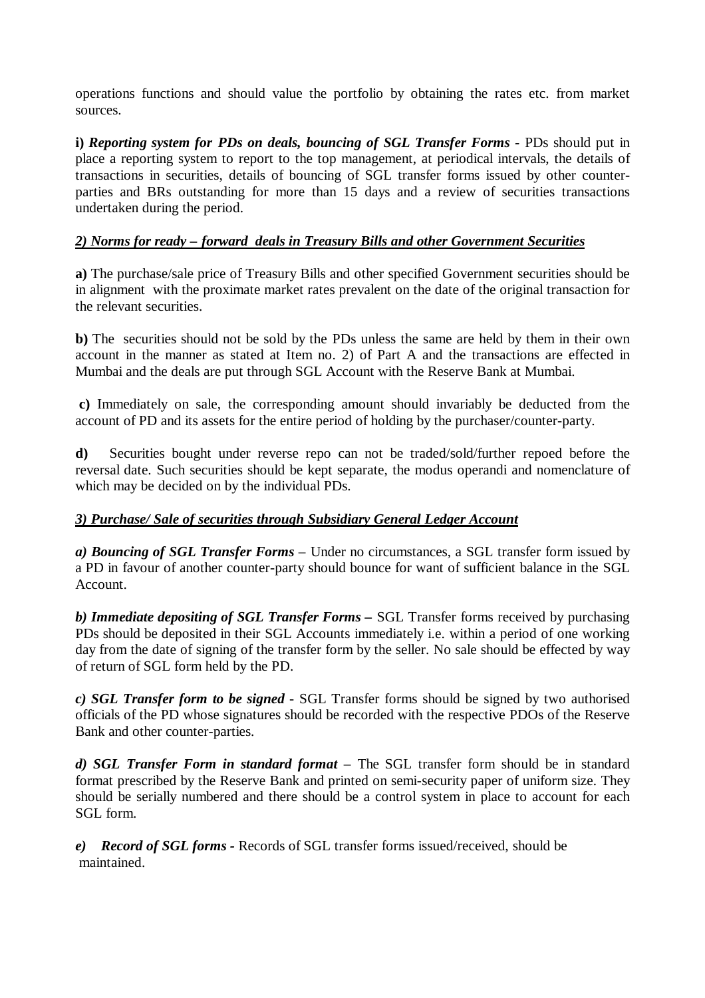operations functions and should value the portfolio by obtaining the rates etc. from market sources.

**i)** *Reporting system for PDs on deals, bouncing of SGL Transfer Forms -* PDs should put in place a reporting system to report to the top management, at periodical intervals, the details of transactions in securities, details of bouncing of SGL transfer forms issued by other counterparties and BRs outstanding for more than 15 days and a review of securities transactions undertaken during the period.

## *2) Norms for ready – forward deals in Treasury Bills and other Government Securities*

**a)** The purchase/sale price of Treasury Bills and other specified Government securities should be in alignment with the proximate market rates prevalent on the date of the original transaction for the relevant securities.

**b)** The securities should not be sold by the PDs unless the same are held by them in their own account in the manner as stated at Item no. 2) of Part A and the transactions are effected in Mumbai and the deals are put through SGL Account with the Reserve Bank at Mumbai.

**c)** Immediately on sale, the corresponding amount should invariably be deducted from the account of PD and its assets for the entire period of holding by the purchaser/counter-party.

**d)** Securities bought under reverse repo can not be traded/sold/further repoed before the reversal date. Such securities should be kept separate, the modus operandi and nomenclature of which may be decided on by the individual PDs.

## *3) Purchase/ Sale of securities through Subsidiary General Ledger Account*

*a) Bouncing of SGL Transfer Forms* – Under no circumstances, a SGL transfer form issued by a PD in favour of another counter-party should bounce for want of sufficient balance in the SGL Account.

*b) Immediate depositing of SGL Transfer Forms –* SGL Transfer forms received by purchasing PDs should be deposited in their SGL Accounts immediately i.e. within a period of one working day from the date of signing of the transfer form by the seller. No sale should be effected by way of return of SGL form held by the PD.

*c) SGL Transfer form to be signed* - SGL Transfer forms should be signed by two authorised officials of the PD whose signatures should be recorded with the respective PDOs of the Reserve Bank and other counter-parties.

*d) SGL Transfer Form in standard format* – The SGL transfer form should be in standard format prescribed by the Reserve Bank and printed on semi-security paper of uniform size. They should be serially numbered and there should be a control system in place to account for each SGL form.

*e) Record of SGL forms -* Records of SGL transfer forms issued/received, should be maintained.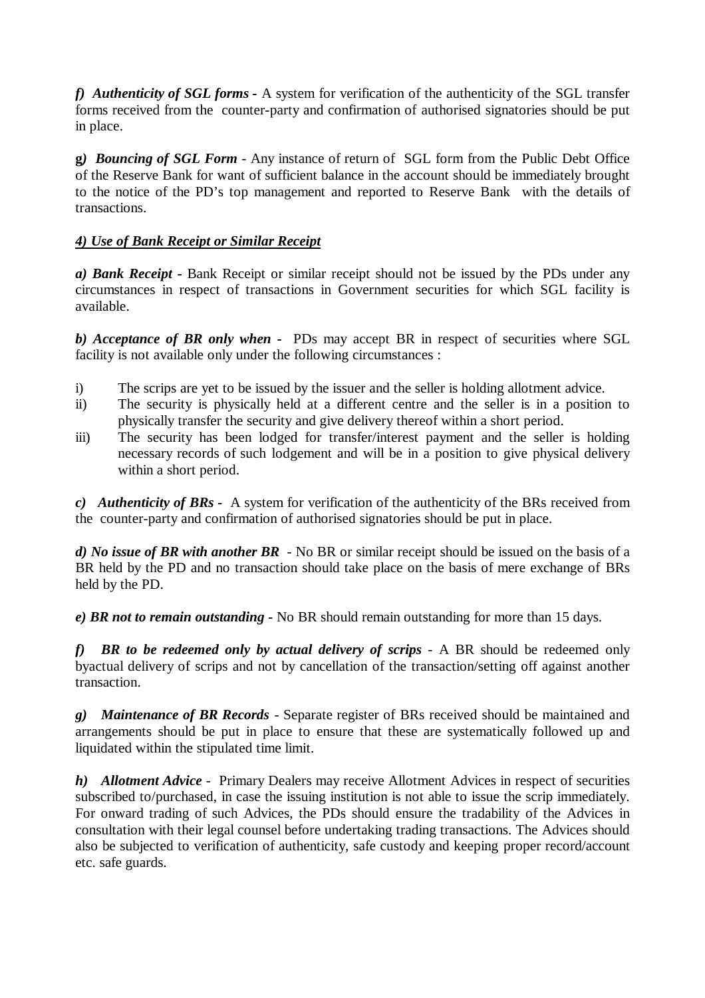*f) Authenticity of SGL forms -* A system for verification of the authenticity of the SGL transfer forms received from the counter-party and confirmation of authorised signatories should be put in place.

**g***) Bouncing of SGL Form* - Any instance of return of SGL form from the Public Debt Office of the Reserve Bank for want of sufficient balance in the account should be immediately brought to the notice of the PD's top management and reported to Reserve Bank with the details of transactions.

## *4) Use of Bank Receipt or Similar Receipt*

*a) Bank Receipt -* Bank Receipt or similar receipt should not be issued by the PDs under any circumstances in respect of transactions in Government securities for which SGL facility is available.

*b) Acceptance of BR only when -* PDs may accept BR in respect of securities where SGL facility is not available only under the following circumstances :

- i) The scrips are yet to be issued by the issuer and the seller is holding allotment advice.
- ii) The security is physically held at a different centre and the seller is in a position to physically transfer the security and give delivery thereof within a short period.
- iii) The security has been lodged for transfer/interest payment and the seller is holding necessary records of such lodgement and will be in a position to give physical delivery within a short period.

*c) Authenticity of BRs -* A system for verification of the authenticity of the BRs received from the counter-party and confirmation of authorised signatories should be put in place.

*d) No issue of BR with another BR* - No BR or similar receipt should be issued on the basis of a BR held by the PD and no transaction should take place on the basis of mere exchange of BRs held by the PD.

*e) BR not to remain outstanding -* No BR should remain outstanding for more than 15 days.

*f) BR to be redeemed only by actual delivery of scrips* - A BR should be redeemed only byactual delivery of scrips and not by cancellation of the transaction/setting off against another transaction.

*g) Maintenance of BR Records* - Separate register of BRs received should be maintained and arrangements should be put in place to ensure that these are systematically followed up and liquidated within the stipulated time limit.

*h) Allotment Advice* - Primary Dealers may receive Allotment Advices in respect of securities subscribed to/purchased, in case the issuing institution is not able to issue the scrip immediately. For onward trading of such Advices, the PDs should ensure the tradability of the Advices in consultation with their legal counsel before undertaking trading transactions. The Advices should also be subjected to verification of authenticity, safe custody and keeping proper record/account etc. safe guards.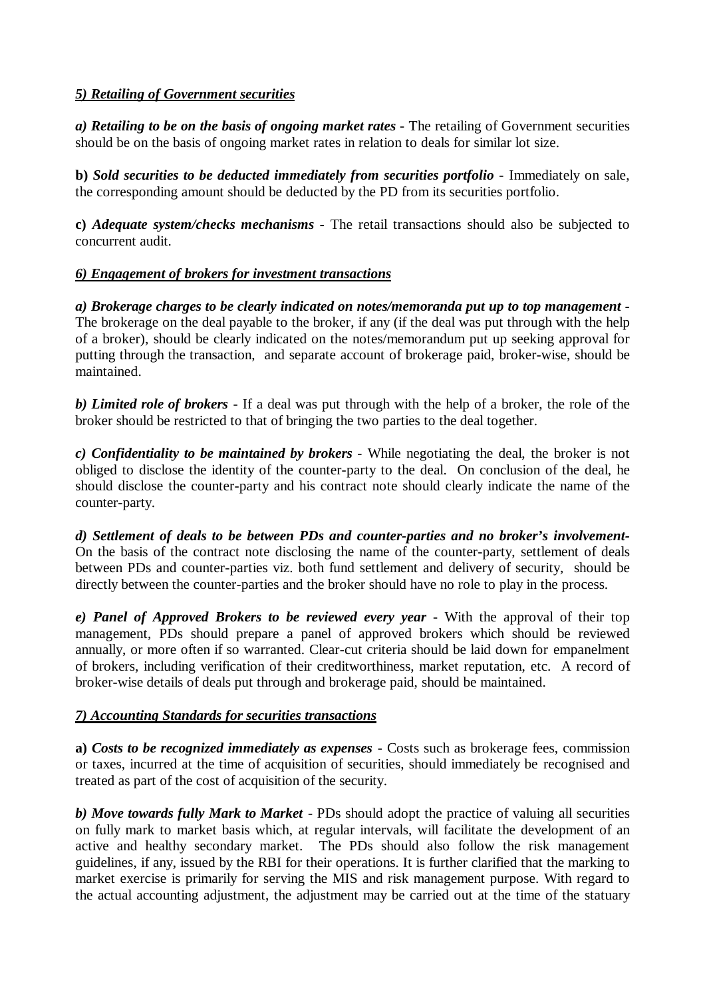## *5) Retailing of Government securities*

*a) Retailing to be on the basis of ongoing market rates* - The retailing of Government securities should be on the basis of ongoing market rates in relation to deals for similar lot size.

**b)** *Sold securities to be deducted immediately from securities portfolio* - Immediately on sale, the corresponding amount should be deducted by the PD from its securities portfolio.

**c)** *Adequate system/checks mechanisms -* The retail transactions should also be subjected to concurrent audit.

## *6) Engagement of brokers for investment transactions*

*a) Brokerage charges to be clearly indicated on notes/memoranda put up to top management -* The brokerage on the deal payable to the broker, if any (if the deal was put through with the help of a broker), should be clearly indicated on the notes/memorandum put up seeking approval for putting through the transaction, and separate account of brokerage paid, broker-wise, should be maintained.

*b) Limited role of brokers* - If a deal was put through with the help of a broker, the role of the broker should be restricted to that of bringing the two parties to the deal together.

*c) Confidentiality to be maintained by brokers* - While negotiating the deal, the broker is not obliged to disclose the identity of the counter-party to the deal. On conclusion of the deal, he should disclose the counter-party and his contract note should clearly indicate the name of the counter-party.

*d) Settlement of deals to be between PDs and counter-parties and no broker's involvement-*On the basis of the contract note disclosing the name of the counter-party, settlement of deals between PDs and counter-parties viz. both fund settlement and delivery of security, should be directly between the counter-parties and the broker should have no role to play in the process.

*e) Panel of Approved Brokers to be reviewed every year* - With the approval of their top management, PDs should prepare a panel of approved brokers which should be reviewed annually, or more often if so warranted. Clear-cut criteria should be laid down for empanelment of brokers, including verification of their creditworthiness, market reputation, etc. A record of broker-wise details of deals put through and brokerage paid, should be maintained.

## *7) Accounting Standards for securities transactions*

**a)** *Costs to be recognized immediately as expenses* - Costs such as brokerage fees, commission or taxes, incurred at the time of acquisition of securities, should immediately be recognised and treated as part of the cost of acquisition of the security.

*b) Move towards fully Mark to Market* - PDs should adopt the practice of valuing all securities on fully mark to market basis which, at regular intervals, will facilitate the development of an active and healthy secondary market. The PDs should also follow the risk management guidelines, if any, issued by the RBI for their operations. It is further clarified that the marking to market exercise is primarily for serving the MIS and risk management purpose. With regard to the actual accounting adjustment, the adjustment may be carried out at the time of the statuary